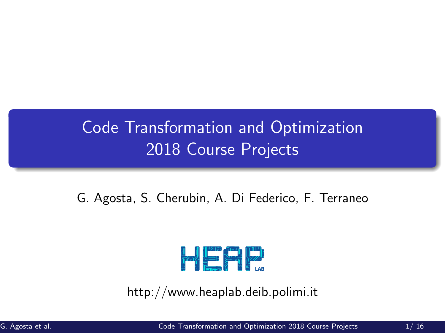# <span id="page-0-0"></span>Code Transformation and Optimization 2018 Course Projects

G. Agosta, S. Cherubin, A. Di Federico, F. Terraneo



http://www.heaplab.deib.polimi.it

G. Agosta et al. [Code Transformation and Optimization 2018 Course Projects](#page-16-0) 1/ 16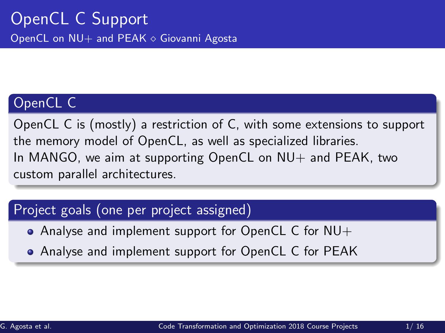# OpenCL C

OpenCL C is (mostly) a restriction of C, with some extensions to support the memory model of OpenCL, as well as specialized libraries. In MANGO, we aim at supporting OpenCL on  $NU+$  and PEAK, two custom parallel architectures.

## Project goals (one per project assigned)

- Analyse and implement support for OpenCL C for NU+
- Analyse and implement support for OpenCL C for PEAK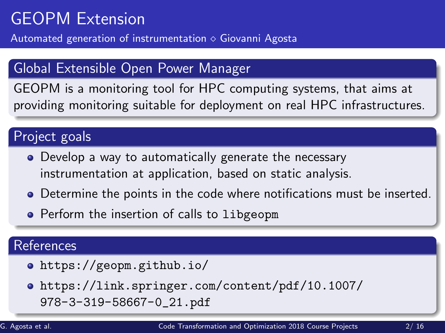# GEOPM Extension

Automated generation of instrumentation  $\diamond$  Giovanni Agosta

# Global Extensible Open Power Manager

GEOPM is a monitoring tool for HPC computing systems, that aims at providing monitoring suitable for deployment on real HPC infrastructures.

#### Project goals

- Develop a way to automatically generate the necessary instrumentation at application, based on static analysis.
- Determine the points in the code where notifications must be inserted.
- **•** Perform the insertion of calls to libgeopm

- <https://geopm.github.io/>
- [https://link.springer.com/content/pdf/10.1007/](https://link.springer.com/content/pdf/10.1007/978-3-319-58667-0_21.pdf) [978-3-319-58667-0\\_21.pdf](https://link.springer.com/content/pdf/10.1007/978-3-319-58667-0_21.pdf)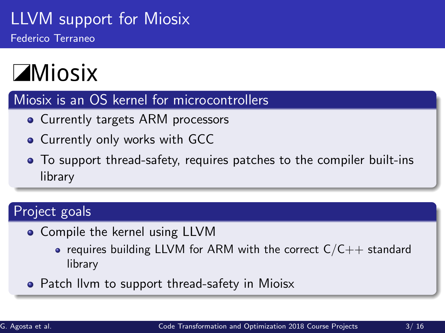# LLVM support for Miosix Federico Terraneo

# **ZMiosix**

#### Miosix is an OS kernel for microcontrollers

- Currently targets ARM processors
- **Currently only works with GCC**
- To support thread-safety, requires patches to the compiler built-ins library

# Project goals

- Compile the kernel using LLVM
	- requires building LLVM for ARM with the correct  $C/C++$  standard library
- Patch Ilym to support thread-safety in Mioisx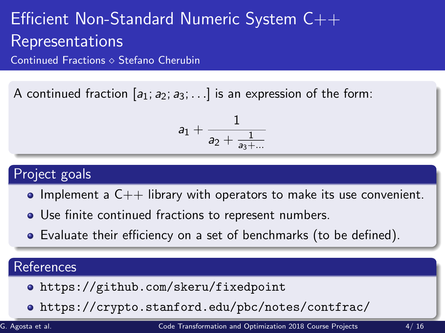# Efficient Non-Standard Numeric System C++ Representations

Continued Fractions  $\diamond$  Stefano Cherubin

A continued fraction  $[a_1; a_2; a_3; \ldots]$  is an expression of the form:

$$
a_1+\frac{1}{a_2+\frac{1}{a_3+\dots}}
$$

#### Project goals

- $\bullet$  Implement a  $C++$  library with operators to make its use convenient.
- Use finite continued fractions to represent numbers.
- Evaluate their efficiency on a set of benchmarks (to be defined).

- <https://github.com/skeru/fixedpoint>
- <https://crypto.stanford.edu/pbc/notes/contfrac/>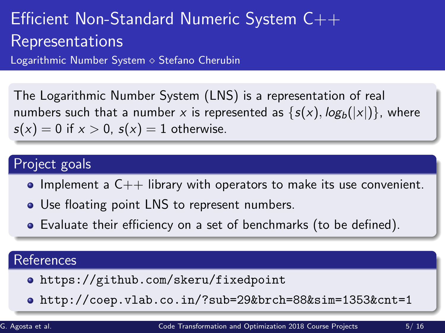# Efficient Non-Standard Numeric System C++ Representations

Logarithmic Number System  $\diamond$  Stefano Cherubin

The Logarithmic Number System (LNS) is a representation of real numbers such that a number x is represented as  $\{s(x), \log_b(|x|)\}\$ , where  $s(x) = 0$  if  $x > 0$ ,  $s(x) = 1$  otherwise.

## Project goals

- $\bullet$  Implement a  $C++$  library with operators to make its use convenient.
- Use floating point LNS to represent numbers.
- Evaluate their efficiency on a set of benchmarks (to be defined).

- <https://github.com/skeru/fixedpoint>
- <http://coep.vlab.co.in/?sub=29&brch=88&sim=1353&cnt=1>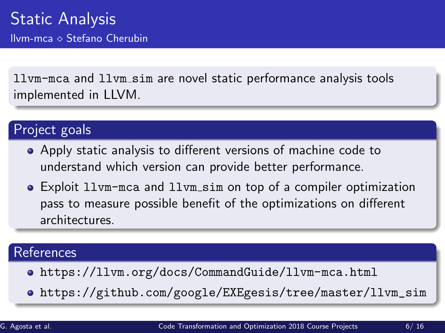llvm-mca and llvm sim are novel static performance analysis tools implemented in LLVM.

### Project goals

- Apply static analysis to different versions of machine code to understand which version can provide better performance.
- Exploit llvm-mca and llvm sim on top of a compiler optimization pass to measure possible benefit of the optimizations on different architectures.

- <https://llvm.org/docs/CommandGuide/llvm-mca.html>
- [https://github.com/google/EXEgesis/tree/master/llvm\\_sim](https://github.com/google/EXEgesis/tree/master/llvm_sim)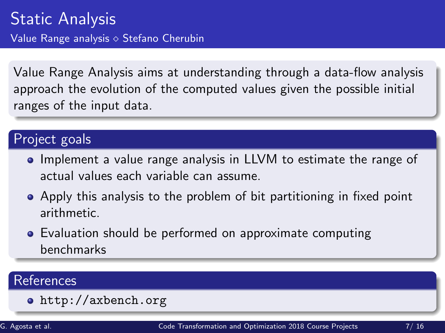Value Range Analysis aims at understanding through a data-flow analysis approach the evolution of the computed values given the possible initial ranges of the input data.

#### Project goals

- **Implement a value range analysis in LLVM to estimate the range of CO** actual values each variable can assume.
- Apply this analysis to the problem of bit partitioning in fixed point arithmetic.
- Evaluation should be performed on approximate computing benchmarks

### **References**

<http://axbench.org>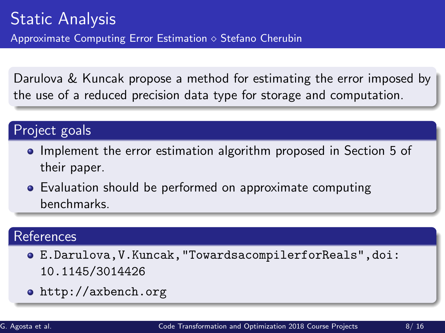Darulova & Kuncak propose a method for estimating the error imposed by the use of a reduced precision data type for storage and computation.

#### Project goals

- Implement the error estimation algorithm proposed in Section 5 of their paper.
- Evaluation should be performed on approximate computing benchmarks.

- [E.Darulova,V.Kuncak,"TowardsacompilerforReals",doi:](E. Darulova, V. Kuncak, "Towards a compiler for Reals", doi: 10.1145/3014426) [10.1145/3014426](E. Darulova, V. Kuncak, "Towards a compiler for Reals", doi: 10.1145/3014426)
- <http://axbench.org>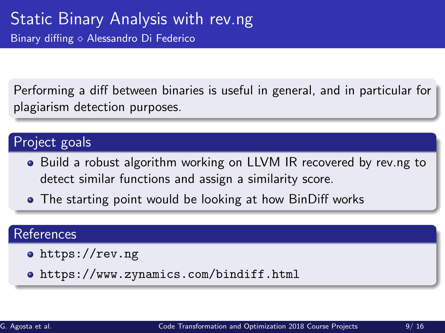Performing a diff between binaries is useful in general, and in particular for plagiarism detection purposes.

# Project goals

- Build a robust algorithm working on LLVM IR recovered by rev.ng to detect similar functions and assign a similarity score.
- The starting point would be looking at how BinDiff works

- <https://rev.ng>
- <https://www.zynamics.com/bindiff.html>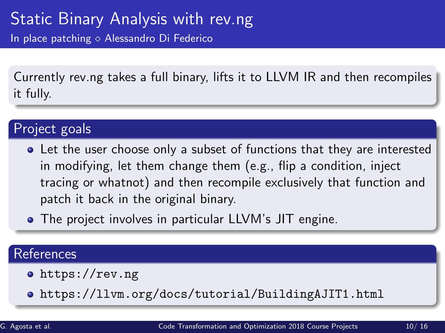Currently rev.ng takes a full binary, lifts it to LLVM IR and then recompiles it fully.

## Project goals

- Let the user choose only a subset of functions that they are interested in modifying, let them change them (e.g., flip a condition, inject tracing or whatnot) and then recompile exclusively that function and patch it back in the original binary.
- The project involves in particular LLVM's JIT engine.

- o <https://rev.ng>
- <https://llvm.org/docs/tutorial/BuildingAJIT1.html>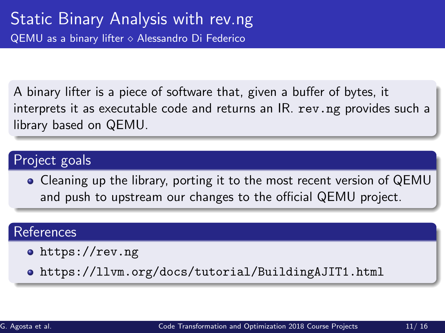A binary lifter is a piece of software that, given a buffer of bytes, it interprets it as executable code and returns an IR. rev.ng provides such a library based on QEMU.

#### Project goals

Cleaning up the library, porting it to the most recent version of QEMU and push to upstream our changes to the official QEMU project.

#### References

o <https://rev.ng>

<https://llvm.org/docs/tutorial/BuildingAJIT1.html>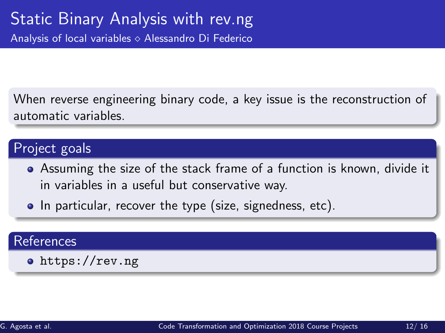When reverse engineering binary code, a key issue is the reconstruction of automatic variables.

### Project goals

- Assuming the size of the stack frame of a function is known, divide it in variables in a useful but conservative way.
- In particular, recover the type (size, signedness, etc).

#### References

o <https://rev.ng>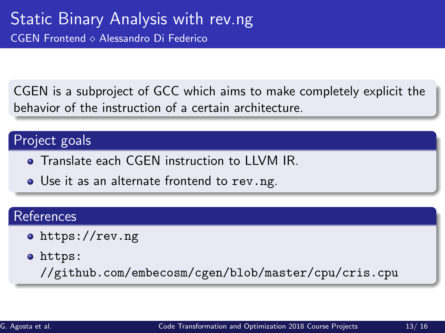CGEN is a subproject of GCC which aims to make completely explicit the behavior of the instruction of a certain architecture.

#### Project goals

- **Translate each CGEN instruction to LLVM IR.**
- Use it as an alternate frontend to rev.ng.

#### References

- <https://rev.ng>
- [https:](https://github.com/embecosm/cgen/blob/master/cpu/cris.cpu)

[//github.com/embecosm/cgen/blob/master/cpu/cris.cpu](https://github.com/embecosm/cgen/blob/master/cpu/cris.cpu)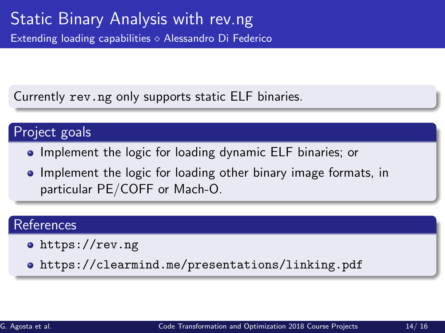Currently rev.ng only supports static ELF binaries.

### Project goals

- **•** Implement the logic for loading dynamic ELF binaries; or
- Implement the logic for loading other binary image formats, in particular PE/COFF or Mach-O.

- <https://rev.ng>
- <https://clearmind.me/presentations/linking.pdf>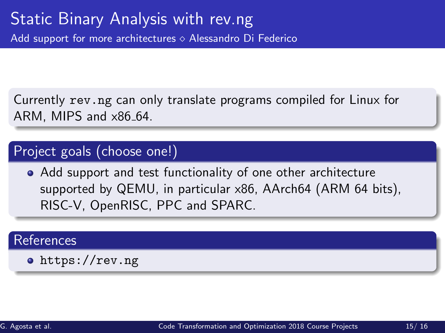Currently rev.ng can only translate programs compiled for Linux for ARM, MIPS and x86 64.

#### Project goals (choose one!)

Add support and test functionality of one other architecture supported by QEMU, in particular x86, AArch64 (ARM 64 bits), RISC-V, OpenRISC, PPC and SPARC.

#### **References**

<https://rev.ng>